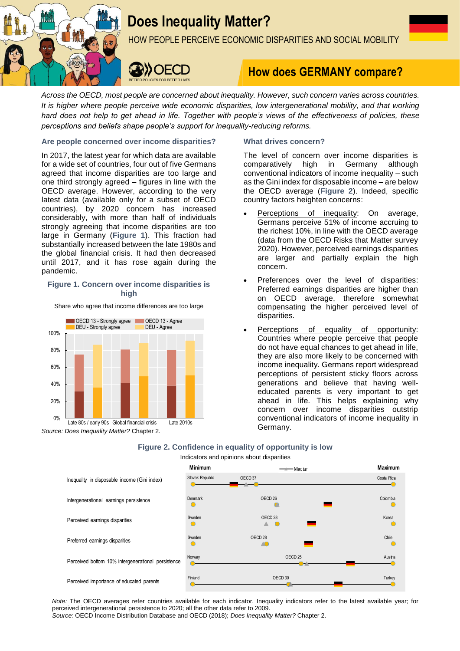

# **Does Inequality Matter?**

HOW PEOPLE PERCEIVE ECONOMIC DISPARITIES AND SOCIAL MOBILITY



# **How does GERMANY compare?**

*Across the OECD, most people are concerned about inequality. However, such concern varies across countries. It is higher where people perceive wide economic disparities, low intergenerational mobility, and that working hard does not help to get ahead in life. Together with people's views of the effectiveness of policies, these perceptions and beliefs shape people's support for inequality-reducing reforms.*

# **Are people concerned over income disparities?**

In 2017, the latest year for which data are available for a wide set of countries, four out of five Germans agreed that income disparities are too large and one third strongly agreed – figures in line with the OECD average. However, according to the very latest data (available only for a subset of OECD countries), by 2020 concern has increased considerably, with more than half of individuals strongly agreeing that income disparities are too large in Germany (**Figure 1**). This fraction had substantially increased between the late 1980s and the global financial crisis. It had then decreased until 2017, and it has rose again during the pandemic.

# **Figure 1. Concern over income disparities is high**

Share who agree that income differences are too large



# **What drives concern?**

The level of concern over income disparities is comparatively high in Germany although conventional indicators of income inequality – such as the Gini index for disposable income – are below the OECD average (**Figure 2**). Indeed, specific country factors heighten concerns:

- Perceptions of inequality: On average, Germans perceive 51% of income accruing to the richest 10%, in line with the OECD average (data from the OECD Risks that Matter survey 2020). However, perceived earnings disparities are larger and partially explain the high concern.
- Preferences over the level of disparities: Preferred earnings disparities are higher than on OECD average, therefore somewhat compensating the higher perceived level of disparities.
- Perceptions of equality of opportunity: Countries where people perceive that people do not have equal chances to get ahead in life, they are also more likely to be concerned with income inequality. Germans report widespread perceptions of persistent sticky floors across generations and believe that having welleducated parents is very important to get ahead in life. This helps explaining why concern over income disparities outstrip conventional indicators of income inequality in Germany.





*Note:* The OECD averages refer countries available for each indicator. Inequality indicators refer to the latest available year; for perceived intergenerational persistence to 2020; all the other data refer to 2009.

*Source:* OECD Income Distribution Database and OECD (2018); *Does Inequality Matter?* Chapter 2.